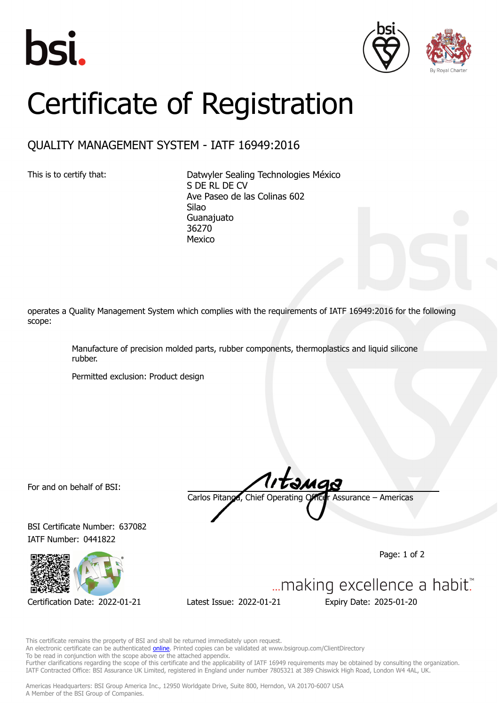





## Certificate of Registration

## QUALITY MANAGEMENT SYSTEM - IATF 16949:2016

This is to certify that: Datwyler Sealing Technologies México S DE RL DE CV Ave Paseo de las Colinas 602 Silao **Guanajuato** 36270 Mexico

operates a Quality Management System which complies with the requirements of IATF 16949:2016 for the following scope:

> Manufacture of precision molded parts, rubber components, thermoplastics and liquid silicone rubber.

Permitted exclusion: Product design

For and on behalf of BSI:

BSI Certificate Number: 637082 IATF Number: 0441822



Carlos Pitanga, Chief Operating Officer Assurance – Americas

Page: 1 of 2



This certificate remains the property of BSI and shall be returned immediately upon request. An electronic certificate can be authenticated **[online](https://pgplus.bsigroup.com/CertificateValidation/CertificateValidator.aspx?CertificateNumber=TS+637082&ReIssueDate=21%2f01%2f2022&Template=inc)**. Printed copies can be validated at www.bsigroup.com/ClientDirectory

To be read in conjunction with the scope above or the attached appendix.

Further clarifications regarding the scope of this certificate and the applicability of IATF 16949 requirements may be obtained by consulting the organization. IATF Contracted Office: BSI Assurance UK Limited, registered in England under number 7805321 at 389 Chiswick High Road, London W4 4AL, UK.

Americas Headquarters: BSI Group America Inc., 12950 Worldgate Drive, Suite 800, Herndon, VA 20170-6007 USA A Member of the BSI Group of Companies.